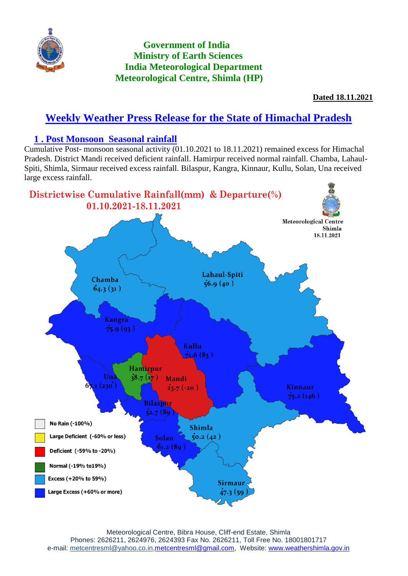

## **Government of India Ministry of Earth Sciences India Meteorological Department Meteorological Centre, Shimla (HP)**

**Dated 18.11.2021**

# **Weekly Weather Press Release for the State of Himachal Pradesh**

### **1 . Post Monsoon Seasonal rainfall**

Cumulative Post- monsoon seasonal activity (01.10.2021 to 18.11.2021) remained excess for Himachal Pradesh. District Mandi received deficient rainfall. Hamirpur received normal rainfall. Chamba, Lahaul-Spiti, Shimla, Sirmaur received excess rainfall. Bilaspur, Kangra, Kinnaur, Kullu, Solan, Una received large excess rainfall.

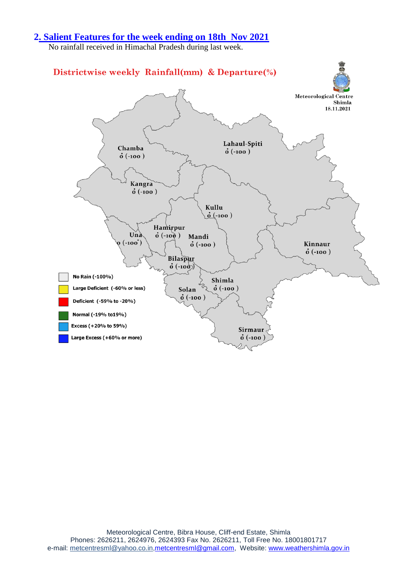#### **2. Salient Features for the week ending on 18th Nov 2021**

No rainfall received in Himachal Pradesh during last week.

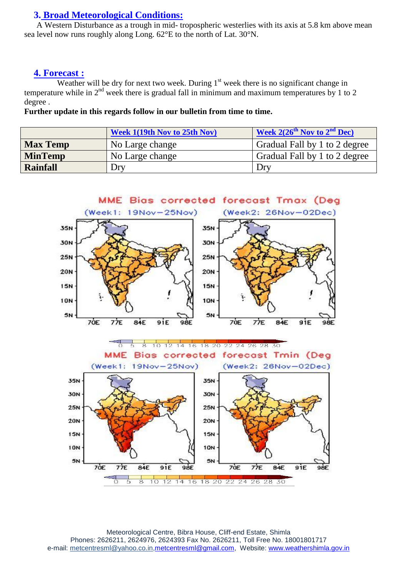#### **3. Broad Meteorological Conditions:**

 A Western Disturbance as a trough in mid- tropospheric westerlies with its axis at 5.8 km above mean sea level now runs roughly along Long. 62°E to the north of Lat. 30°N.

#### **4. Forecast :**

Weather will be dry for next two week. During  $1<sup>st</sup>$  week there is no significant change in temperature while in  $2<sup>nd</sup>$  week there is gradual fall in minimum and maximum temperatures by 1 to 2 degree .

**Further update in this regards follow in our bulletin from time to time.**

|                 | <b>Week 1(19th Nov to 25th Nov)</b> | <b>Week 2(26<sup>th</sup> Nov to 2<sup>nd</sup> Dec)</b> |
|-----------------|-------------------------------------|----------------------------------------------------------|
| <b>Max Temp</b> | No Large change                     | Gradual Fall by 1 to 2 degree                            |
| <b>MinTemp</b>  | No Large change                     | Gradual Fall by 1 to 2 degree                            |
| <b>Rainfall</b> | Dry                                 | Dry                                                      |

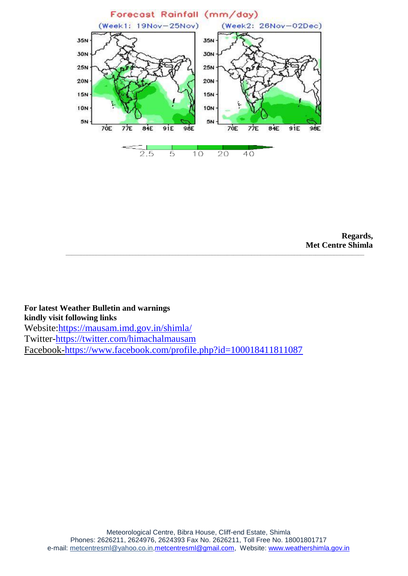

**Regards, Met Centre Shimla \_\_\_\_\_\_\_\_\_\_\_\_\_\_\_\_\_\_\_\_\_\_\_\_\_\_\_\_\_\_\_\_\_\_\_\_\_\_\_\_\_\_\_\_\_\_\_\_\_\_\_\_\_\_\_\_\_\_\_\_\_\_\_\_\_\_\_\_\_\_\_\_\_\_\_\_\_\_\_\_\_\_\_\_\_\_\_\_\_\_\_\_\_\_\_\_\_\_**

**For latest Weather Bulletin and warnings kindly visit following links** Website[:https://mausam.imd.gov.in/shimla/](%2520https:/mausam.imd.gov.in/shimla/) Twitter[-https://twitter.com/himachalmausam](https://twitter.com/himachalmausam) Facebook-https://www.facebook.com/profile.php?id=100018411811087